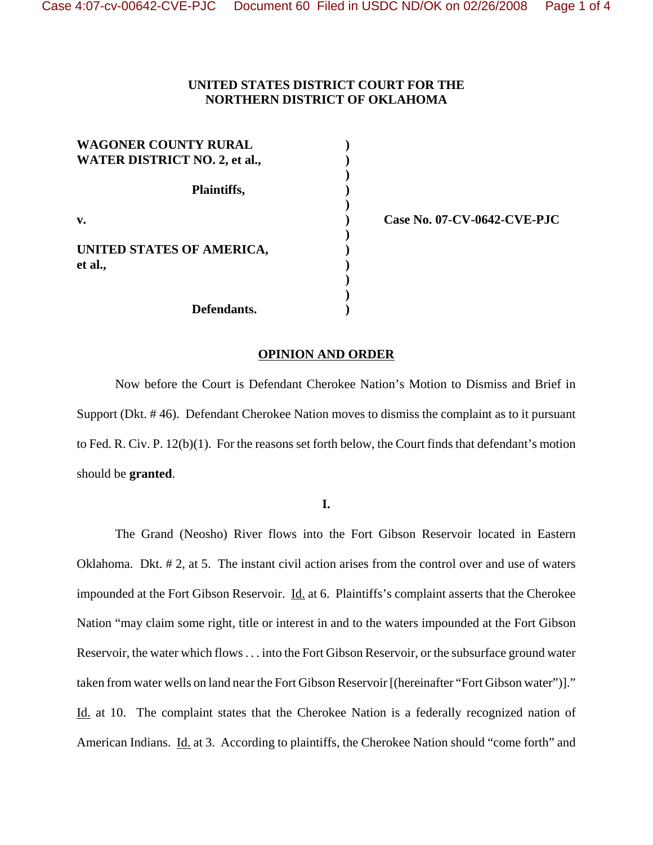## **UNITED STATES DISTRICT COURT FOR THE NORTHERN DISTRICT OF OKLAHOMA**

| <b>WAGONER COUNTY RURAL</b><br><b>WATER DISTRICT NO. 2, et al.,</b> |  |
|---------------------------------------------------------------------|--|
| Plaintiffs,                                                         |  |
| $\mathbf{v}$ .                                                      |  |
| UNITED STATES OF AMERICA,<br>et al.,                                |  |
| Defendants.                                                         |  |

**v. ) Case No. 07-CV-0642-CVE-PJC**

## **OPINION AND ORDER**

Now before the Court is Defendant Cherokee Nation's Motion to Dismiss and Brief in Support (Dkt. # 46). Defendant Cherokee Nation moves to dismiss the complaint as to it pursuant to Fed. R. Civ. P. 12(b)(1). For the reasons set forth below, the Court finds that defendant's motion should be **granted**.

**I.**

The Grand (Neosho) River flows into the Fort Gibson Reservoir located in Eastern Oklahoma. Dkt. # 2, at 5. The instant civil action arises from the control over and use of waters impounded at the Fort Gibson Reservoir. Id. at 6. Plaintiffs's complaint asserts that the Cherokee Nation "may claim some right, title or interest in and to the waters impounded at the Fort Gibson Reservoir, the water which flows . . . into the Fort Gibson Reservoir, or the subsurface ground water taken from water wells on land near the Fort Gibson Reservoir [(hereinafter "Fort Gibson water")]." Id. at 10. The complaint states that the Cherokee Nation is a federally recognized nation of American Indians. Id. at 3. According to plaintiffs, the Cherokee Nation should "come forth" and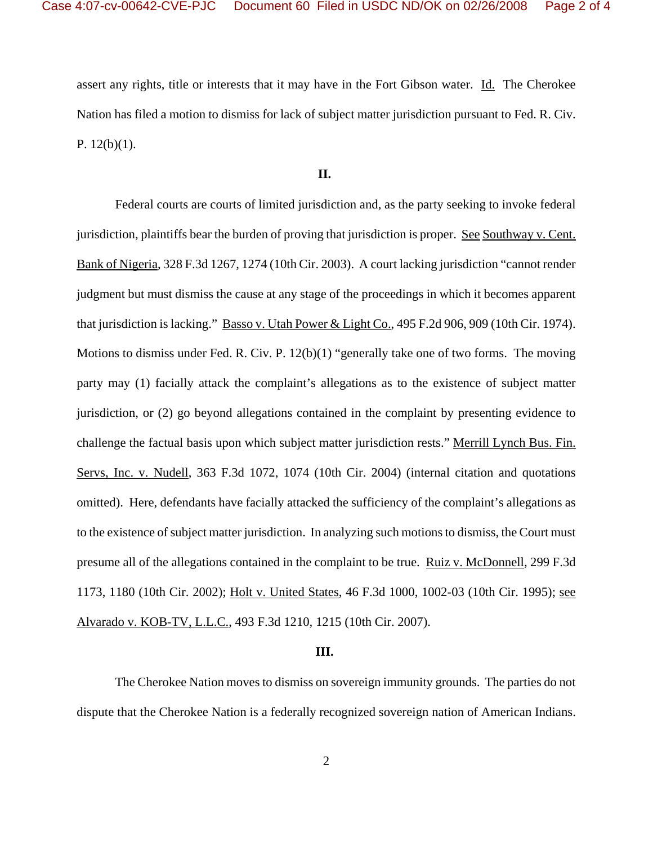assert any rights, title or interests that it may have in the Fort Gibson water. Id. The Cherokee Nation has filed a motion to dismiss for lack of subject matter jurisdiction pursuant to Fed. R. Civ. P.  $12(b)(1)$ .

## **II.**

Federal courts are courts of limited jurisdiction and, as the party seeking to invoke federal jurisdiction, plaintiffs bear the burden of proving that jurisdiction is proper. See Southway v. Cent. Bank of Nigeria, 328 F.3d 1267, 1274 (10th Cir. 2003). A court lacking jurisdiction "cannot render judgment but must dismiss the cause at any stage of the proceedings in which it becomes apparent that jurisdiction is lacking." Basso v. Utah Power & Light Co., 495 F.2d 906, 909 (10th Cir. 1974). Motions to dismiss under Fed. R. Civ. P. 12(b)(1) "generally take one of two forms. The moving party may (1) facially attack the complaint's allegations as to the existence of subject matter jurisdiction, or (2) go beyond allegations contained in the complaint by presenting evidence to challenge the factual basis upon which subject matter jurisdiction rests." Merrill Lynch Bus. Fin. Servs, Inc. v. Nudell, 363 F.3d 1072, 1074 (10th Cir. 2004) (internal citation and quotations omitted). Here, defendants have facially attacked the sufficiency of the complaint's allegations as to the existence of subject matter jurisdiction. In analyzing such motions to dismiss, the Court must presume all of the allegations contained in the complaint to be true. Ruiz v. McDonnell, 299 F.3d 1173, 1180 (10th Cir. 2002); Holt v. United States, 46 F.3d 1000, 1002-03 (10th Cir. 1995); see Alvarado v. KOB-TV, L.L.C., 493 F.3d 1210, 1215 (10th Cir. 2007).

## **III.**

The Cherokee Nation moves to dismiss on sovereign immunity grounds. The parties do not dispute that the Cherokee Nation is a federally recognized sovereign nation of American Indians.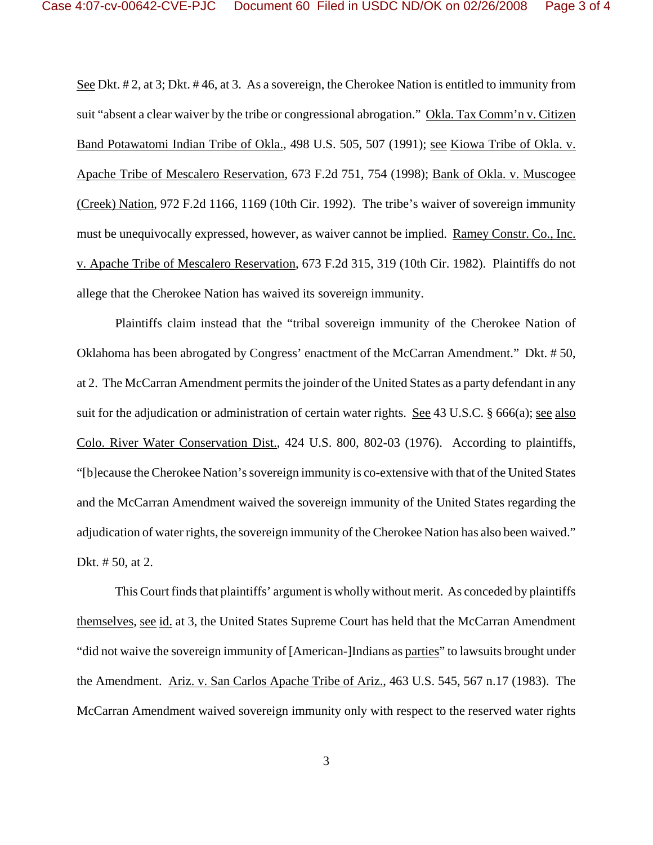See Dkt. # 2, at 3; Dkt. # 46, at 3. As a sovereign, the Cherokee Nation is entitled to immunity from suit "absent a clear waiver by the tribe or congressional abrogation." Okla. Tax Comm'n v. Citizen Band Potawatomi Indian Tribe of Okla., 498 U.S. 505, 507 (1991); see Kiowa Tribe of Okla. v. Apache Tribe of Mescalero Reservation, 673 F.2d 751, 754 (1998); Bank of Okla. v. Muscogee (Creek) Nation, 972 F.2d 1166, 1169 (10th Cir. 1992). The tribe's waiver of sovereign immunity must be unequivocally expressed, however, as waiver cannot be implied. Ramey Constr. Co., Inc. v. Apache Tribe of Mescalero Reservation, 673 F.2d 315, 319 (10th Cir. 1982). Plaintiffs do not allege that the Cherokee Nation has waived its sovereign immunity.

Plaintiffs claim instead that the "tribal sovereign immunity of the Cherokee Nation of Oklahoma has been abrogated by Congress' enactment of the McCarran Amendment." Dkt. # 50, at 2. The McCarran Amendment permits the joinder of the United States as a party defendant in any suit for the adjudication or administration of certain water rights. See 43 U.S.C. § 666(a); see also Colo. River Water Conservation Dist., 424 U.S. 800, 802-03 (1976). According to plaintiffs, "[b]ecause the Cherokee Nation's sovereign immunity is co-extensive with that of the United States and the McCarran Amendment waived the sovereign immunity of the United States regarding the adjudication of water rights, the sovereign immunity of the Cherokee Nation has also been waived." Dkt. # 50, at 2.

This Court finds that plaintiffs' argument is wholly without merit. As conceded by plaintiffs themselves, see id. at 3, the United States Supreme Court has held that the McCarran Amendment "did not waive the sovereign immunity of [American-]Indians as parties" to lawsuits brought under the Amendment. Ariz. v. San Carlos Apache Tribe of Ariz., 463 U.S. 545, 567 n.17 (1983). The McCarran Amendment waived sovereign immunity only with respect to the reserved water rights